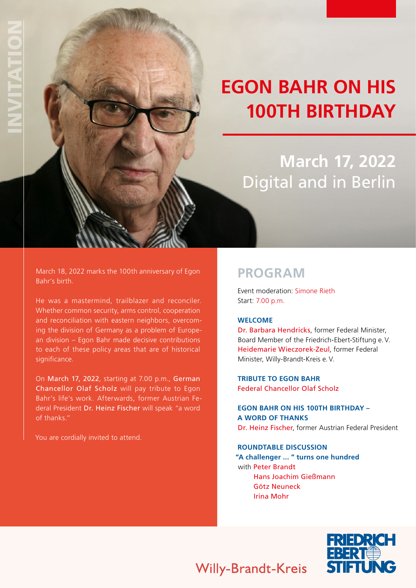# **EGON BAHR ON HIS 100TH BIRTHDAY**

## **March 17, 2022**  Digital and in Berlin

March 18, 2022 marks the 100th anniversary of Egon Bahr's birth.

He was a mastermind, trailblazer and reconciler. Whether common security, arms control, cooperation and reconciliation with eastern neighbors, overcoming the division of Germany as a problem of European division – Egon Bahr made decisive contributions to each of these policy areas that are of historical significance.

On March 17, 2022, starting at 7.00 p.m., German Chancellor Olaf Scholz will pay tribute to Egon Bahr's life's work. Afterwards, former Austrian Federal President Dr. Heinz Fischer will speak "a word of thanks."

You are cordially invited to attend.

### **PROGRAM**

 Event moderation: Simone Rieth Start: 7.00 p.m.

#### **WELCOME**

Dr. Barbara Hendricks, former Federal Minister, Board Member of the Friedrich-Ebert-Stiftung e.V. Heidemarie Wieczorek-Zeul, former Federal Minister, Willy-Brandt-Kreis e.V.

 **TRIBUTE TO EGON BAHR** Federal Chancellor Olaf Scholz

 **EGON BAHR ON HIS 100TH BIRTHDAY – A WORD OF THANKS** Dr. Heinz Fischer, former Austrian Federal President

#### **ROUNDTABLE DISCUSSION**

**"A challenger ... " turns one hundred** with Peter Brandt Hans Joachim Gießmann Götz Neuneck Irina Mohr



### **Willy-Brandt-Kreis**